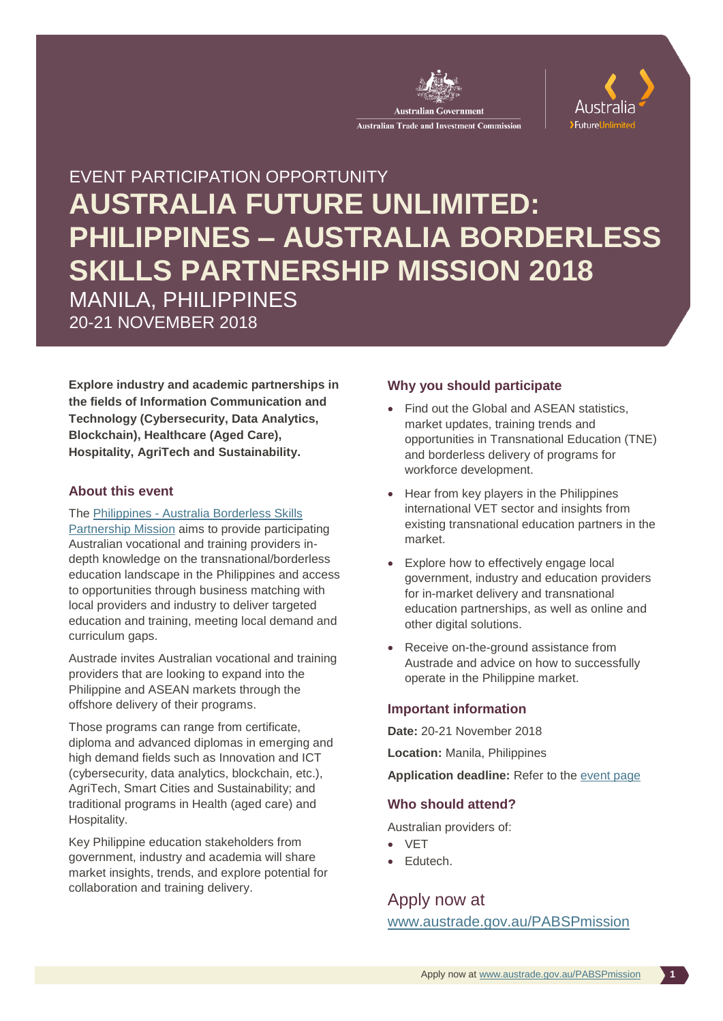



# EVENT PARTICIPATION OPPORTUNITY **AUSTRALIA FUTURE UNLIMITED: PHILIPPINES – AUSTRALIA BORDERLESS SKILLS PARTNERSHIP MISSION 2018** MANILA, PHILIPPINES 20-21 NOVEMBER 2018

**Explore industry and academic partnerships in the fields of Information Communication and Technology (Cybersecurity, Data Analytics, Blockchain), Healthcare (Aged Care), Hospitality, AgriTech and Sustainability.** 

### **About this event**

### The Philippines - [Australia Borderless Skills](http://www.austrade.gov.au/PABSPmission)

[Partnership Mission](http://www.austrade.gov.au/PABSPmission) aims to provide participating Australian vocational and training providers indepth knowledge on the transnational/borderless education landscape in the Philippines and access to opportunities through business matching with local providers and industry to deliver targeted education and training, meeting local demand and curriculum gaps.

Austrade invites Australian vocational and training providers that are looking to expand into the Philippine and ASEAN markets through the offshore delivery of their programs.

Those programs can range from certificate, diploma and advanced diplomas in emerging and high demand fields such as Innovation and ICT (cybersecurity, data analytics, blockchain, etc.), AgriTech, Smart Cities and Sustainability; and traditional programs in Health (aged care) and Hospitality.

Key Philippine education stakeholders from government, industry and academia will share market insights, trends, and explore potential for collaboration and training delivery.

### **Why you should participate**

- Find out the Global and ASEAN statistics. market updates, training trends and opportunities in Transnational Education (TNE) and borderless delivery of programs for workforce development.
- Hear from key players in the Philippines international VET sector and insights from existing transnational education partners in the market.
- Explore how to effectively engage local government, industry and education providers for in-market delivery and transnational education partnerships, as well as online and other digital solutions.
- Receive on-the-ground assistance from Austrade and advice on how to successfully operate in the Philippine market.

### **Important information**

**Date:** 20-21 November 2018

**Location:** Manila, Philippines

**Application deadline:** Refer to the [event page](http://www.austrade.gov.au/PABSPmission)

### **Who should attend?**

Australian providers of:

- VET
- **Edutech.**

Apply now at

[www.austrade.gov.au/PABSPmission](http://www.austrade.gov.au/PABSPmission)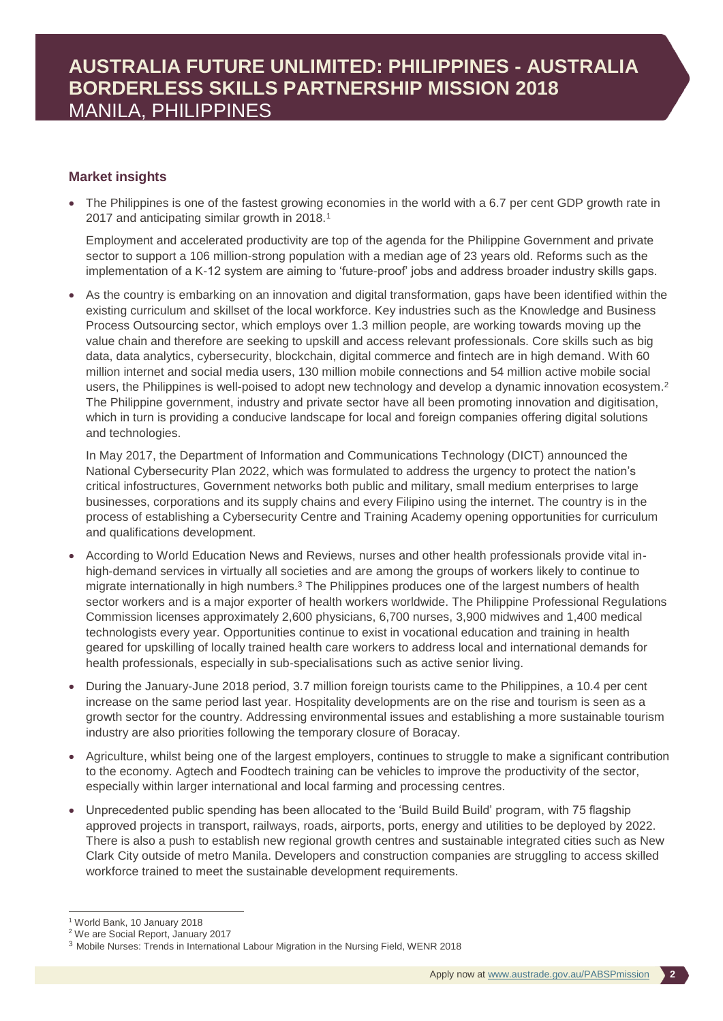### **Market insights**

 The Philippines is one of the fastest growing economies in the world with a 6.7 per cent GDP growth rate in 2017 and anticipating similar growth in 2018.<sup>1</sup>

Employment and accelerated productivity are top of the agenda for the Philippine Government and private sector to support a 106 million-strong population with a median age of 23 years old. Reforms such as the implementation of a K-12 system are aiming to 'future-proof' jobs and address broader industry skills gaps.

 As the country is embarking on an innovation and digital transformation, gaps have been identified within the existing curriculum and skillset of the local workforce. Key industries such as the Knowledge and Business Process Outsourcing sector, which employs over 1.3 million people, are working towards moving up the value chain and therefore are seeking to upskill and access relevant professionals. Core skills such as big data, data analytics, cybersecurity, blockchain, digital commerce and fintech are in high demand. With 60 million internet and social media users, 130 million mobile connections and 54 million active mobile social users, the Philippines is well-poised to adopt new technology and develop a dynamic innovation ecosystem.<sup>2</sup> The Philippine government, industry and private sector have all been promoting innovation and digitisation, which in turn is providing a conducive landscape for local and foreign companies offering digital solutions and technologies.

In May 2017, the Department of Information and Communications Technology (DICT) announced the National Cybersecurity Plan 2022, which was formulated to address the urgency to protect the nation's critical infostructures, Government networks both public and military, small medium enterprises to large businesses, corporations and its supply chains and every Filipino using the internet. The country is in the process of establishing a Cybersecurity Centre and Training Academy opening opportunities for curriculum and qualifications development.

- According to World Education News and Reviews, nurses and other health professionals provide vital inhigh-demand services in virtually all societies and are among the groups of workers likely to continue to migrate internationally in high numbers.<sup>3</sup> The Philippines produces one of the largest numbers of health sector workers and is a major exporter of health workers worldwide. The Philippine Professional Regulations Commission licenses approximately 2,600 physicians, 6,700 nurses, 3,900 midwives and 1,400 medical technologists every year. Opportunities continue to exist in vocational education and training in health geared for upskilling of locally trained health care workers to address local and international demands for health professionals, especially in sub-specialisations such as active senior living.
- During the January-June 2018 period, 3.7 million foreign tourists came to the Philippines, a 10.4 per cent increase on the same period last year. Hospitality developments are on the rise and tourism is seen as a growth sector for the country. Addressing environmental issues and establishing a more sustainable tourism industry are also priorities following the temporary closure of Boracay.
- Agriculture, whilst being one of the largest employers, continues to struggle to make a significant contribution to the economy. Agtech and Foodtech training can be vehicles to improve the productivity of the sector, especially within larger international and local farming and processing centres.
- Unprecedented public spending has been allocated to the 'Build Build Build' program, with 75 flagship approved projects in transport, railways, roads, airports, ports, energy and utilities to be deployed by 2022. There is also a push to establish new regional growth centres and sustainable integrated cities such as New Clark City outside of metro Manila. Developers and construction companies are struggling to access skilled workforce trained to meet the sustainable development requirements.

<sup>-</sup><sup>1</sup> World Bank, 10 January 2018

<sup>2</sup> We are Social Report, January 2017

<sup>3</sup> Mobile Nurses: Trends in International Labour Migration in the Nursing Field, WENR 2018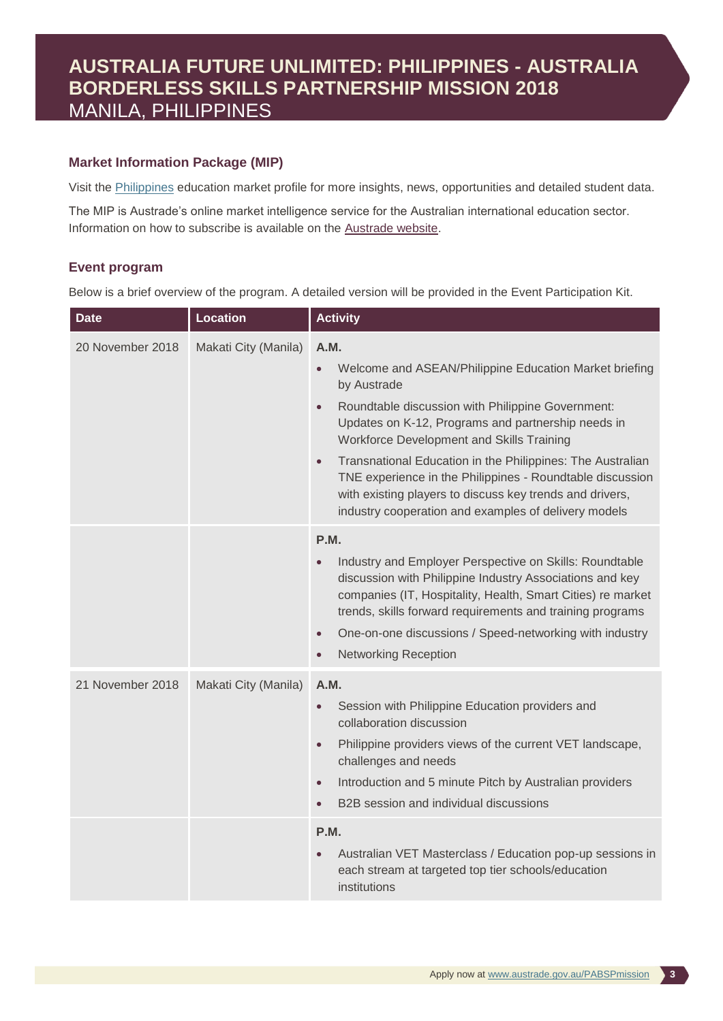## **AUSTRALIA FUTURE UNLIMITED: PHILIPPINES - AUSTRALIA BORDERLESS SKILLS PARTNERSHIP MISSION 2018** MANILA, PHILIPPINES

### **Market Information Package (MIP)**

Visit the [Philippines](https://www.austrade.gov.au/Australian/Education/Countries/Philippines) education market profile for more insights, news, opportunities and detailed student data.

The MIP is Austrade's online market intelligence service for the Australian international education sector. Information on how to subscribe is available on the [Austrade website.](http://www.austrade.gov.au/Australian/Education/Services/Market-Information-Package)

### **Event program**

Below is a brief overview of the program. A detailed version will be provided in the Event Participation Kit.

| <b>Date</b>      | <b>Location</b>      | <b>Activity</b>                                                                                                                                                                                                                                                                                                                                                                                                                                                                                                             |
|------------------|----------------------|-----------------------------------------------------------------------------------------------------------------------------------------------------------------------------------------------------------------------------------------------------------------------------------------------------------------------------------------------------------------------------------------------------------------------------------------------------------------------------------------------------------------------------|
| 20 November 2018 | Makati City (Manila) | A.M.<br>Welcome and ASEAN/Philippine Education Market briefing<br>$\bullet$<br>by Austrade<br>Roundtable discussion with Philippine Government:<br>$\bullet$<br>Updates on K-12, Programs and partnership needs in<br>Workforce Development and Skills Training<br>Transnational Education in the Philippines: The Australian<br>$\bullet$<br>TNE experience in the Philippines - Roundtable discussion<br>with existing players to discuss key trends and drivers,<br>industry cooperation and examples of delivery models |
|                  |                      | P.M.<br>Industry and Employer Perspective on Skills: Roundtable<br>$\bullet$<br>discussion with Philippine Industry Associations and key<br>companies (IT, Hospitality, Health, Smart Cities) re market<br>trends, skills forward requirements and training programs<br>One-on-one discussions / Speed-networking with industry<br>$\bullet$<br><b>Networking Reception</b><br>$\bullet$                                                                                                                                    |
| 21 November 2018 | Makati City (Manila) | A.M.<br>Session with Philippine Education providers and<br>$\bullet$<br>collaboration discussion<br>Philippine providers views of the current VET landscape,<br>$\bullet$<br>challenges and needs<br>Introduction and 5 minute Pitch by Australian providers<br>$\bullet$<br>B2B session and individual discussions<br>$\bullet$                                                                                                                                                                                            |
|                  |                      | P.M.<br>Australian VET Masterclass / Education pop-up sessions in<br>each stream at targeted top tier schools/education<br>institutions                                                                                                                                                                                                                                                                                                                                                                                     |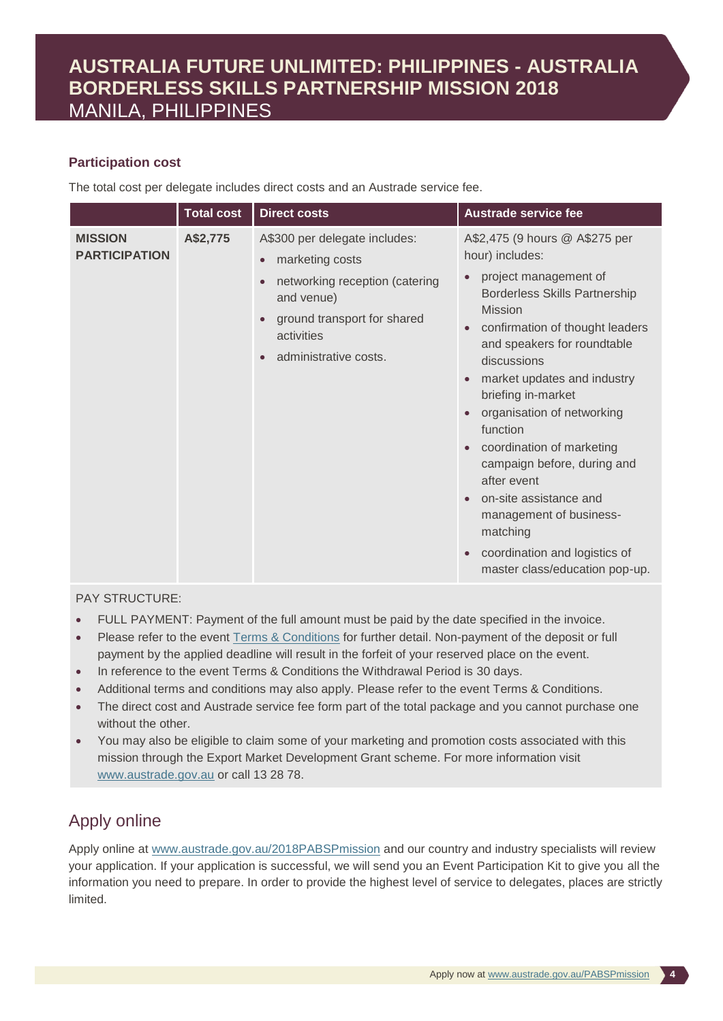## **AUSTRALIA FUTURE UNLIMITED: PHILIPPINES - AUSTRALIA BORDERLESS SKILLS PARTNERSHIP MISSION 2018** MANILA, PHILIPPINES

### **Participation cost**

The total cost per delegate includes direct costs and an Austrade service fee.

|                                        | <b>Total cost</b> | <b>Direct costs</b>                                                                                                                                                                                                        | <b>Austrade service fee</b>                                                                                                                                                                                                                                                                                                                                                                                                                                                                                                                      |
|----------------------------------------|-------------------|----------------------------------------------------------------------------------------------------------------------------------------------------------------------------------------------------------------------------|--------------------------------------------------------------------------------------------------------------------------------------------------------------------------------------------------------------------------------------------------------------------------------------------------------------------------------------------------------------------------------------------------------------------------------------------------------------------------------------------------------------------------------------------------|
| <b>MISSION</b><br><b>PARTICIPATION</b> | A\$2,775          | A\$300 per delegate includes:<br>marketing costs<br>$\bullet$<br>networking reception (catering<br>$\bullet$<br>and venue)<br>ground transport for shared<br>$\bullet$<br>activities<br>administrative costs.<br>$\bullet$ | A\$2,475 (9 hours @ A\$275 per<br>hour) includes:<br>project management of<br><b>Borderless Skills Partnership</b><br><b>Mission</b><br>confirmation of thought leaders<br>and speakers for roundtable<br>discussions<br>market updates and industry<br>$\bullet$<br>briefing in-market<br>organisation of networking<br>function<br>coordination of marketing<br>campaign before, during and<br>after event<br>on-site assistance and<br>management of business-<br>matching<br>coordination and logistics of<br>master class/education pop-up. |

### PAY STRUCTURE:

- FULL PAYMENT: Payment of the full amount must be paid by the date specified in the invoice.
- Please refer to the event [Terms & Conditions](http://www.austrade.gov.au/ArticleDocuments/1422/Austrade-Mission-Agreement.pdf.aspx) for further detail. Non-payment of the deposit or full payment by the applied deadline will result in the forfeit of your reserved place on the event.
- In reference to the event Terms & Conditions the Withdrawal Period is 30 days.
- Additional terms and conditions may also apply. Please refer to the event Terms & Conditions.
- The direct cost and Austrade service fee form part of the total package and you cannot purchase one without the other.
- You may also be eligible to claim some of your marketing and promotion costs associated with this mission through the Export Market Development Grant scheme. For more information visit [www.austrade.gov.au](http://www.austrade.gov.au/) or call 13 28 78.

### Apply online

Apply online at [www.austrade.gov.au/2018PABSPmission](http://www.austrade.gov.au/2018PABSPmission) and our country and industry specialists will review your application. If your application is successful, we will send you an Event Participation Kit to give you all the information you need to prepare. In order to provide the highest level of service to delegates, places are strictly limited.